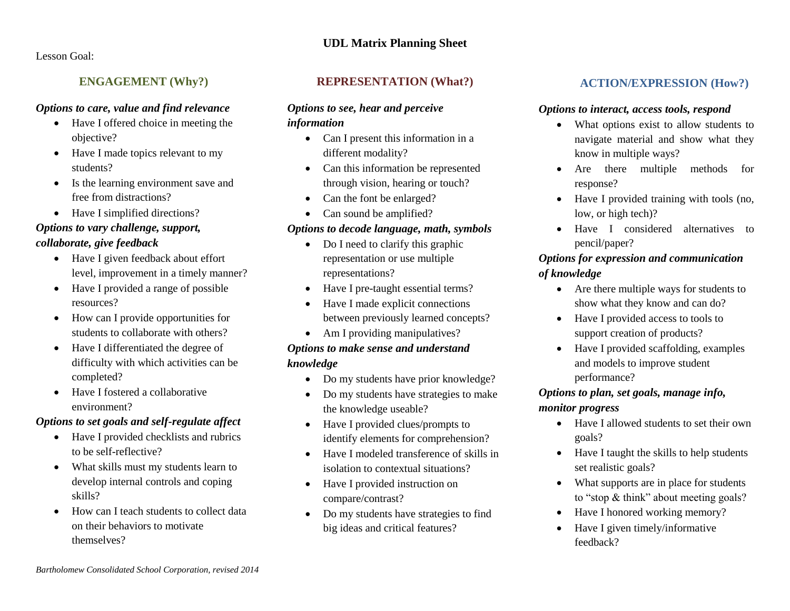#### **UDL Matrix Planning Sheet**

Lesson Goal:

# **ENGAGEMENT (Why?)**

#### *Options to care, value and find relevance*

- Have I offered choice in meeting the objective?
- Have I made topics relevant to my students?
- Is the learning environment save and free from distractions?
- Have I simplified directions?

#### *Options to vary challenge, support, collaborate, give feedback*

- Have I given feedback about effort level, improvement in a timely manner?
- Have I provided a range of possible resources?
- How can I provide opportunities for students to collaborate with others?
- Have I differentiated the degree of difficulty with which activities can be completed?
- Have I fostered a collaborative environment?

## *Options to set goals and self-regulate affect*

- Have I provided checklists and rubrics to be self-reflective?
- What skills must my students learn to develop internal controls and coping skills?
- How can I teach students to collect data on their behaviors to motivate themselves?

#### **REPRESENTATION (What?)**

#### *Options to see, hear and perceive information*

- Can I present this information in a different modality?
- Can this information be represented through vision, hearing or touch?
- Can the font be enlarged?
- Can sound be amplified?

## *Options to decode language, math, symbols*

- Do I need to clarify this graphic representation or use multiple representations?
- Have I pre-taught essential terms?
- Have I made explicit connections between previously learned concepts?
- Am I providing manipulatives?

# *Options to make sense and understand knowledge*

- Do my students have prior knowledge?
- Do my students have strategies to make the knowledge useable?
- Have I provided clues/prompts to identify elements for comprehension?
- Have I modeled transference of skills in isolation to contextual situations?
- Have I provided instruction on compare/contrast?
- Do my students have strategies to find big ideas and critical features?

## **ACTION/EXPRESSION (How?)**

#### *Options to interact, access tools, respond*

- What options exist to allow students to navigate material and show what they know in multiple ways?
- Are there multiple methods for response?
- Have I provided training with tools (no, low, or high tech)?
- Have I considered alternatives to pencil/paper?

# *Options for expression and communication of knowledge*

- Are there multiple ways for students to show what they know and can do?
- Have I provided access to tools to support creation of products?
- Have I provided scaffolding, examples and models to improve student performance?

## *Options to plan, set goals, manage info, monitor progress*

- Have I allowed students to set their own goals?
- Have I taught the skills to help students set realistic goals?
- What supports are in place for students to "stop & think" about meeting goals?
- Have I honored working memory?
- Have I given timely/informative feedback?